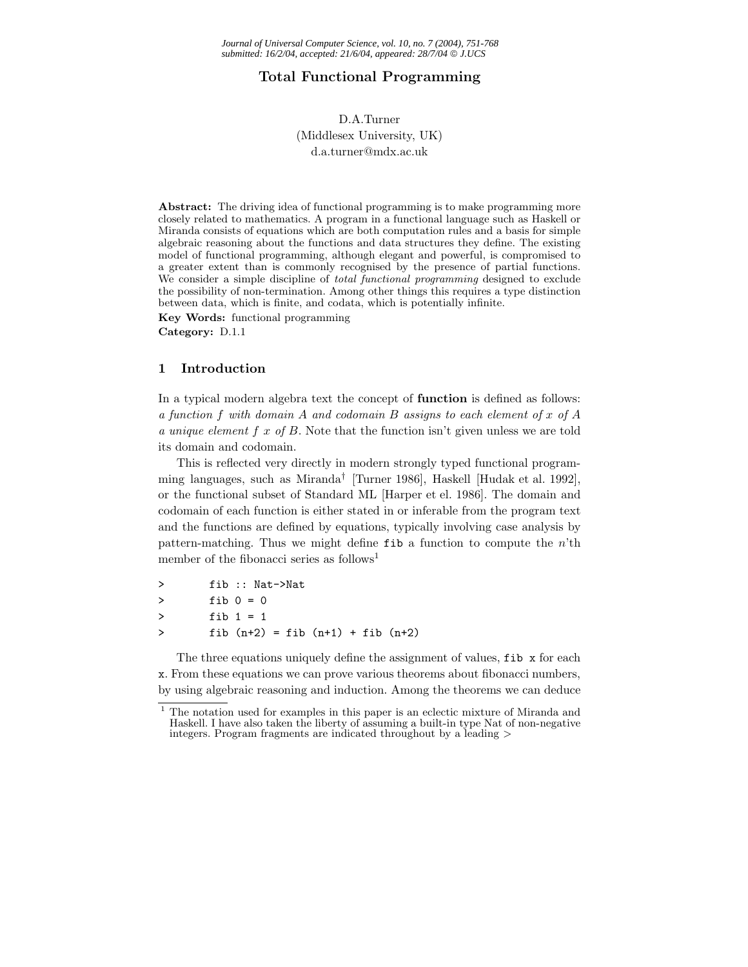# **Total Functional Programming**

# D.A.Turner (Middlesex University, UK) d.a.turner@mdx.ac.uk

**Abstract:** The driving idea of functional programming is to make programming more closely related to mathematics. A program in a functional language such as Haskell or Miranda consists of equations which are both computation rules and a basis for simple algebraic reasoning about the functions and data structures they define. The existing model of functional programming, although elegant and powerful, is compromised to a greater extent than is commonly recognised by the presence of partial functions. We consider a simple discipline of *total functional programming* designed to exclude the possibility of non-termination. Among other things this requires a type distinction between data, which is finite, and codata, which is potentially infinite.

**Key Words:** functional programming **Category:** D.1.1

# **1 Introduction**

In a typical modern algebra text the concept of **function** is defined as follows: *a function* f *with domain* A *and codomain* B *assigns to each element of* x *of* A *a unique element* f x *of* B. Note that the function isn't given unless we are told its domain and codomain.

This is reflected very directly in modern strongly typed functional programming languages, such as Miranda*†* [Turner 1986], Haskell [Hudak et al. 1992], or the functional subset of Standard ML [Harper et el. 1986]. The domain and codomain of each function is either stated in or inferable from the program text and the functions are defined by equations, typically involving case analysis by pattern-matching. Thus we might define  $f$ ib a function to compute the  $n'$ th member of the fibonacci series as follows<sup>1</sup>

| ゝ | fib :: Nat->Nat                         |
|---|-----------------------------------------|
| ゝ | fib $0 = 0$                             |
| ゝ | fib $1 = 1$                             |
| ゝ | fib $(n+2)$ = fib $(n+1)$ + fib $(n+2)$ |

The three equations uniquely define the assignment of values,  $\texttt{fib}$  x for each x. From these equations we can prove various theorems about fibonacci numbers, by using algebraic reasoning and induction. Among the theorems we can deduce

<sup>1</sup> The notation used for examples in this paper is an eclectic mixture of Miranda and Haskell. I have also taken the liberty of assuming a built-in type Nat of non-negative integers. Program fragments are indicated throughout by a leading *>*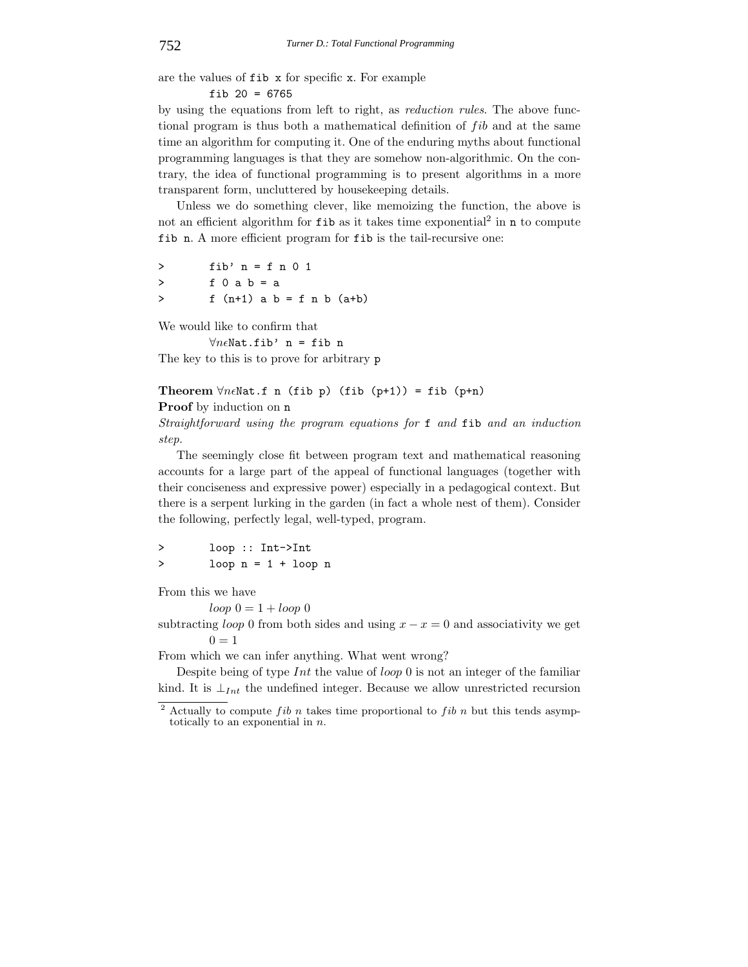are the values of fib x for specific x. For example

fib 20 = 6765

by using the equations from left to right, as *reduction rules*. The above functional program is thus both a mathematical definition of  $fib$  and at the same time an algorithm for computing it. One of the enduring myths about functional programming languages is that they are somehow non-algorithmic. On the contrary, the idea of functional programming is to present algorithms in a more transparent form, uncluttered by housekeeping details.

Unless we do something clever, like memoizing the function, the above is not an efficient algorithm for  $f$ ib as it takes time exponential<sup>2</sup> in n to compute fib n. A more efficient program for fib is the tail-recursive one:

 $>$  fib' n = f n 0 1 > f0ab=a  $> f(n+1)$  a b = f n b (a+b)

We would like to confirm that

 $\forall n \in \mathbb{N}$ at.fib' n = fib n The key to this is to prove for arbitrary p

Theorem  $\forall n \in \mathbb{N}$ at.f n (fib p) (fib (p+1)) = fib (p+n)

**Proof** by induction on n

*Straightforward using the program equations for* f *and* fib *and an induction step.*

The seemingly close fit between program text and mathematical reasoning accounts for a large part of the appeal of functional languages (together with their conciseness and expressive power) especially in a pedagogical context. But there is a serpent lurking in the garden (in fact a whole nest of them). Consider the following, perfectly legal, well-typed, program.

> loop :: Int->Int > loop n = 1 + loop n

From this we have

 $loop\ 0=1+ loop\ 0$ 

subtracting *loop* 0 from both sides and using  $x - x = 0$  and associativity we get  $0=1$ 

From which we can infer anything. What went wrong?

Despite being of type  $Int$  the value of loop 0 is not an integer of the familiar kind. It is  $\perp_{Int}$  the undefined integer. Because we allow unrestricted recursion

 $2$  Actually to compute *fib n* takes time proportional to *fib n* but this tends asymptotically to an exponential in *n*.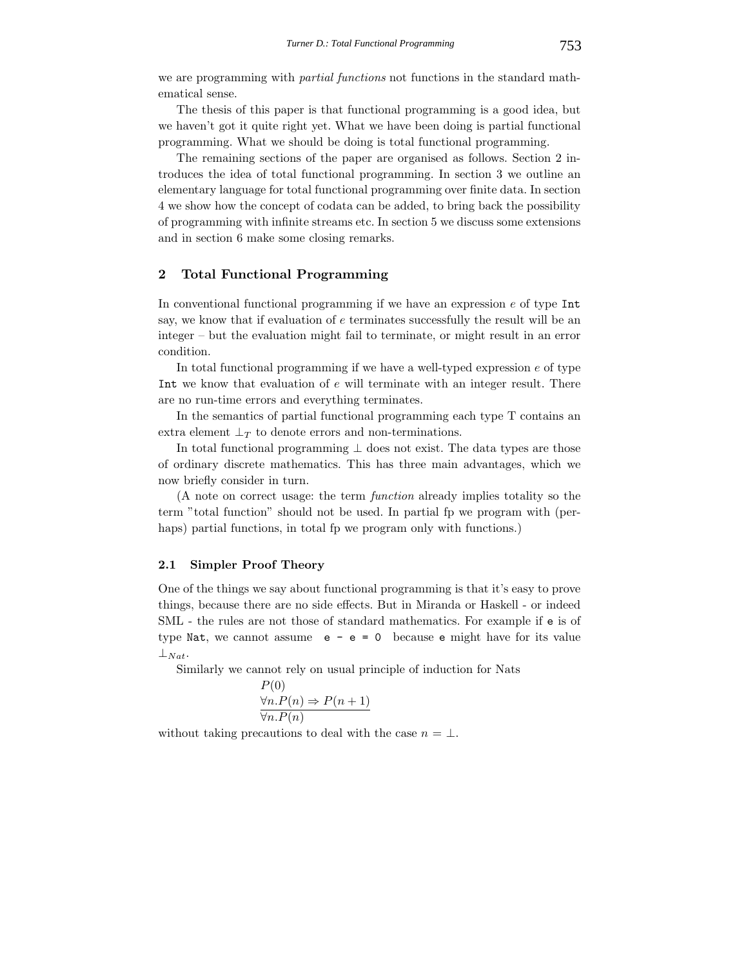we are programming with *partial functions* not functions in the standard mathematical sense.

The thesis of this paper is that functional programming is a good idea, but we haven't got it quite right yet. What we have been doing is partial functional programming. What we should be doing is total functional programming.

The remaining sections of the paper are organised as follows. Section 2 introduces the idea of total functional programming. In section 3 we outline an elementary language for total functional programming over finite data. In section 4 we show how the concept of codata can be added, to bring back the possibility of programming with infinite streams etc. In section 5 we discuss some extensions and in section 6 make some closing remarks.

# **2 Total Functional Programming**

In conventional functional programming if we have an expression  $e$  of type Int say, we know that if evaluation of e terminates successfully the result will be an integer – but the evaluation might fail to terminate, or might result in an error condition.

In total functional programming if we have a well-typed expression  $e$  of type Int we know that evaluation of e will terminate with an integer result. There are no run-time errors and everything terminates.

In the semantics of partial functional programming each type T contains an extra element  $\perp_T$  to denote errors and non-terminations.

In total functional programming  $\perp$  does not exist. The data types are those of ordinary discrete mathematics. This has three main advantages, which we now briefly consider in turn.

(A note on correct usage: the term *function* already implies totality so the term "total function" should not be used. In partial fp we program with (perhaps) partial functions, in total fp we program only with functions.

# **2.1 Simpler Proof Theory**

One of the things we say about functional programming is that it's easy to prove things, because there are no side effects. But in Miranda or Haskell - or indeed SML - the rules are not those of standard mathematics. For example if e is of type Nat, we cannot assume  $e - e = 0$  because e might have for its value  $\perp$ *Nat*.

Similarly we cannot rely on usual principle of induction for Nats

$$
\frac{\forall n. P(n) \Rightarrow P(n+1)}{\forall n. P(n)}
$$

 $D(0)$ 

without taking precautions to deal with the case  $n = \perp$ .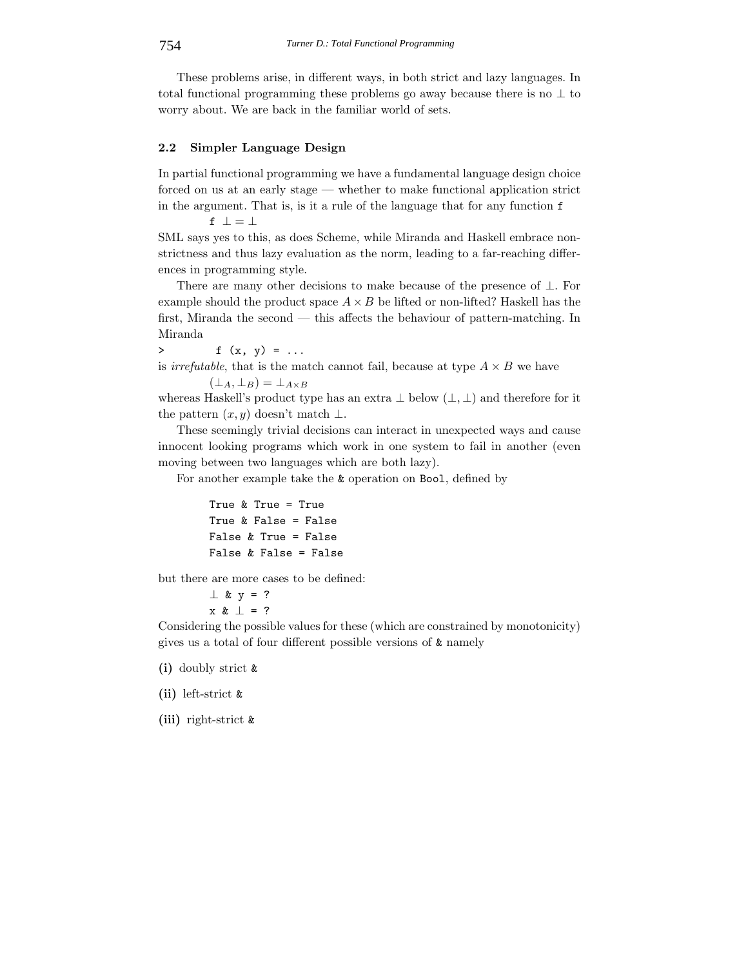These problems arise, in different ways, in both strict and lazy languages. In total functional programming these problems go away because there is no  $\perp$  to worry about. We are back in the familiar world of sets.

# **2.2 Simpler Language Design**

In partial functional programming we have a fundamental language design choice forced on us at an early stage — whether to make functional application strict in the argument. That is, is it a rule of the language that for any function f

f  $\bot = \bot$ 

SML says yes to this, as does Scheme, while Miranda and Haskell embrace nonstrictness and thus lazy evaluation as the norm, leading to a far-reaching differences in programming style.

There are many other decisions to make because of the presence of  $\bot$ . For example should the product space  $A \times B$  be lifted or non-lifted? Haskell has the first, Miranda the second — this affects the behaviour of pattern-matching. In Miranda

 $>$  f (x, y) = ... is *irrefutable*, that is the match cannot fail, because at type  $A \times B$  we have  $(\perp_A, \perp_B) = \perp_{A \times B}$ 

whereas Haskell's product type has an extra  $\perp$  below  $(\perp, \perp)$  and therefore for it the pattern  $(x, y)$  doesn't match  $\perp$ .

These seemingly trivial decisions can interact in unexpected ways and cause innocent looking programs which work in one system to fail in another (even moving between two languages which are both lazy).

For another example take the & operation on Bool, defined by

```
True & True = True
True & False = False
False & True = False
False & False = False
```
but there are more cases to be defined:

```
\perp & y = ?
x & ⊥ = ?
```
Considering the possible values for these (which are constrained by monotonicity) gives us a total of four different possible versions of & namely

- **(i)** doubly strict &
- **(ii)** left-strict &
- **(iii)** right-strict &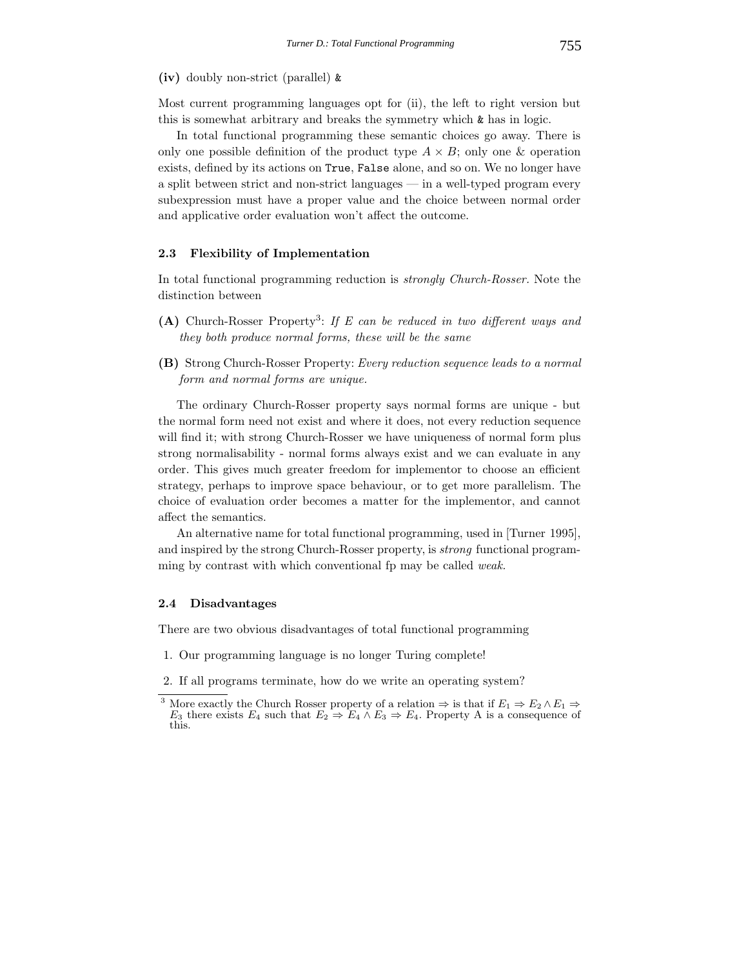## **(iv)** doubly non-strict (parallel) &

Most current programming languages opt for (ii), the left to right version but this is somewhat arbitrary and breaks the symmetry which & has in logic.

In total functional programming these semantic choices go away. There is only one possible definition of the product type  $A \times B$ ; only one & operation exists, defined by its actions on True, False alone, and so on. We no longer have a split between strict and non-strict languages — in a well-typed program every subexpression must have a proper value and the choice between normal order and applicative order evaluation won't affect the outcome.

# **2.3 Flexibility of Implementation**

In total functional programming reduction is *strongly Church-Rosser.* Note the distinction between

- **(A)** Church-Rosser Property3: *If E can be reduced in two different ways and they both produce normal forms, these will be the same*
- **(B)** Strong Church-Rosser Property: *Every reduction sequence leads to a normal form and normal forms are unique.*

The ordinary Church-Rosser property says normal forms are unique - but the normal form need not exist and where it does, not every reduction sequence will find it; with strong Church-Rosser we have uniqueness of normal form plus strong normalisability - normal forms always exist and we can evaluate in any order. This gives much greater freedom for implementor to choose an efficient strategy, perhaps to improve space behaviour, or to get more parallelism. The choice of evaluation order becomes a matter for the implementor, and cannot affect the semantics.

An alternative name for total functional programming, used in [Turner 1995], and inspired by the strong Church-Rosser property, is *strong* functional programming by contrast with which conventional fp may be called *weak.*

## **2.4 Disadvantages**

There are two obvious disadvantages of total functional programming

- 1. Our programming language is no longer Turing complete!
- 2. If all programs terminate, how do we write an operating system?

<sup>&</sup>lt;sup>3</sup> More exactly the Church Rosser property of a relation  $\Rightarrow$  is that if  $E_1 \Rightarrow E_2 \wedge E_1 \Rightarrow$ *E*<sub>3</sub> there exists *E*<sub>4</sub> such that *E*<sub>2</sub>  $\Rightarrow$  *E*<sub>4</sub> ∧ *E*<sub>3</sub>  $\Rightarrow$  *E*<sub>4</sub>. Property A is a consequence of this.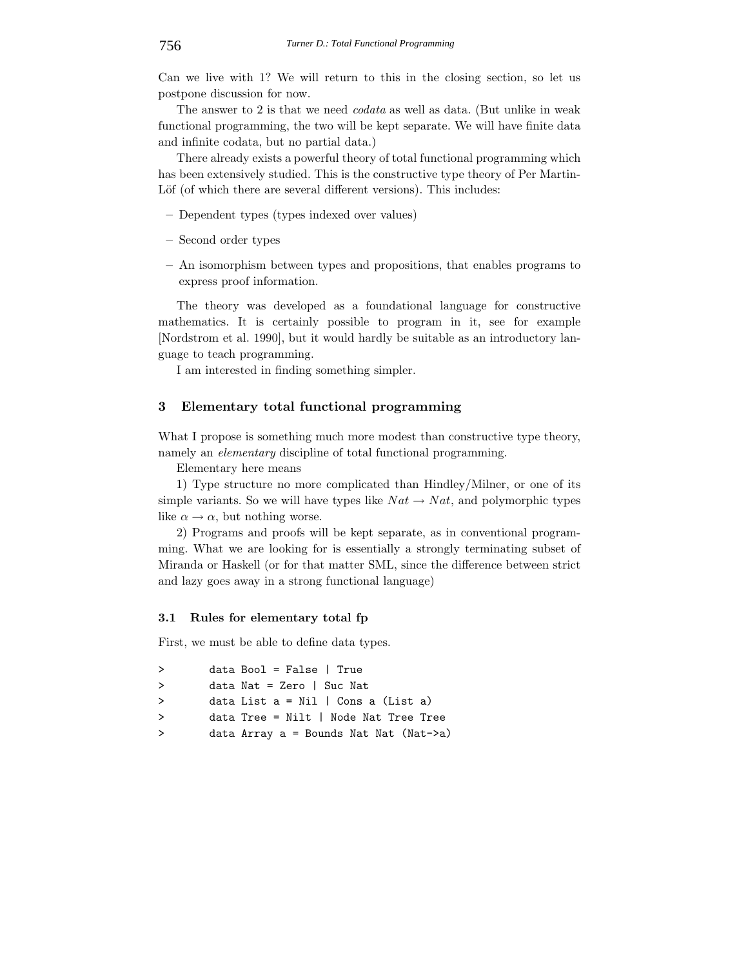Can we live with 1? We will return to this in the closing section, so let us postpone discussion for now.

The answer to 2 is that we need *codata* as well as data. (But unlike in weak functional programming, the two will be kept separate. We will have finite data and infinite codata, but no partial data.)

There already exists a powerful theory of total functional programming which has been extensively studied. This is the constructive type theory of Per Martin-Löf (of which there are several different versions). This includes:

- **–** Dependent types (types indexed over values)
- **–** Second order types
- **–** An isomorphism between types and propositions, that enables programs to express proof information.

The theory was developed as a foundational language for constructive mathematics. It is certainly possible to program in it, see for example [Nordstrom et al. 1990], but it would hardly be suitable as an introductory language to teach programming.

I am interested in finding something simpler.

# **3 Elementary total functional programming**

What I propose is something much more modest than constructive type theory, namely an *elementary* discipline of total functional programming.

Elementary here means

1) Type structure no more complicated than Hindley/Milner, or one of its simple variants. So we will have types like  $Nat \rightarrow Nat$ , and polymorphic types like  $\alpha \to \alpha$ , but nothing worse.

2) Programs and proofs will be kept separate, as in conventional programming. What we are looking for is essentially a strongly terminating subset of Miranda or Haskell (or for that matter SML, since the difference between strict and lazy goes away in a strong functional language)

## **3.1 Rules for elementary total fp**

First, we must be able to define data types.

| $\rightarrow$ | $data Bool = False   True$              |
|---------------|-----------------------------------------|
| $\rightarrow$ | data Nat = Zero   Suc Nat               |
| $\rightarrow$ | data List $a = Nil$   Cons a (List a)   |
| $\rightarrow$ | $data$ Tree = Nilt   Node Nat Tree Tree |
| $\rightarrow$ | data Array a = Bounds Nat Nat (Nat->a)  |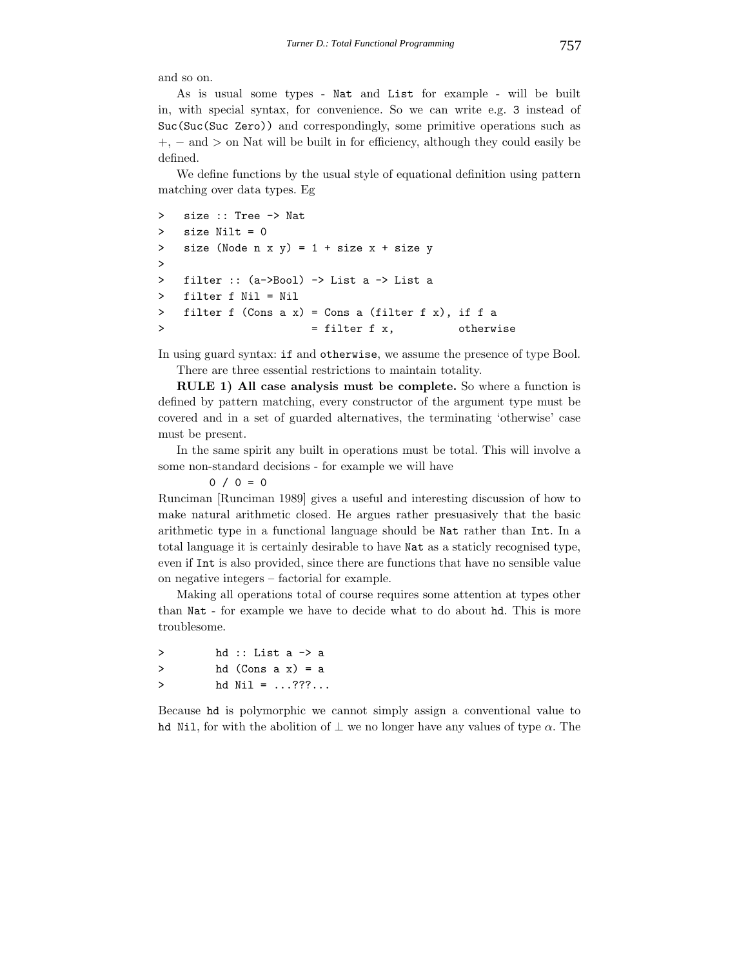and so on.

As is usual some types - Nat and List for example - will be built in, with special syntax, for convenience. So we can write e.g. 3 instead of Suc(Suc(Suc Zero)) and correspondingly, some primitive operations such as +, − and > on Nat will be built in for efficiency, although they could easily be defined.

We define functions by the usual style of equational definition using pattern matching over data types. Eg

```
> size :: Tree -> Nat
> size Nilt = 0
> size (Node n x y) = 1 + size x + size y
>
> filter :: (a->Bool) -> List a -> List a
> filter f Nil = Nil
> filter f (Cons a x) = Cons a (filter f x), if f a
> = filter f x, otherwise
```
In using guard syntax: if and otherwise, we assume the presence of type Bool. There are three essential restrictions to maintain totality.

**RULE 1) All case analysis must be complete.** So where a function is defined by pattern matching, every constructor of the argument type must be covered and in a set of guarded alternatives, the terminating 'otherwise' case must be present.

In the same spirit any built in operations must be total. This will involve a some non-standard decisions - for example we will have

 $0 / 0 = 0$ 

Runciman [Runciman 1989] gives a useful and interesting discussion of how to make natural arithmetic closed. He argues rather presuasively that the basic arithmetic type in a functional language should be Nat rather than Int. In a total language it is certainly desirable to have Nat as a staticly recognised type, even if Int is also provided, since there are functions that have no sensible value on negative integers – factorial for example.

Making all operations total of course requires some attention at types other than Nat - for example we have to decide what to do about hd. This is more troublesome.

```
> hd :: List a -> a
> hd (Cons a x) = a
> hd Nil = ...???...
```
Because hd is polymorphic we cannot simply assign a conventional value to hd Nil, for with the abolition of  $\perp$  we no longer have any values of type  $\alpha$ . The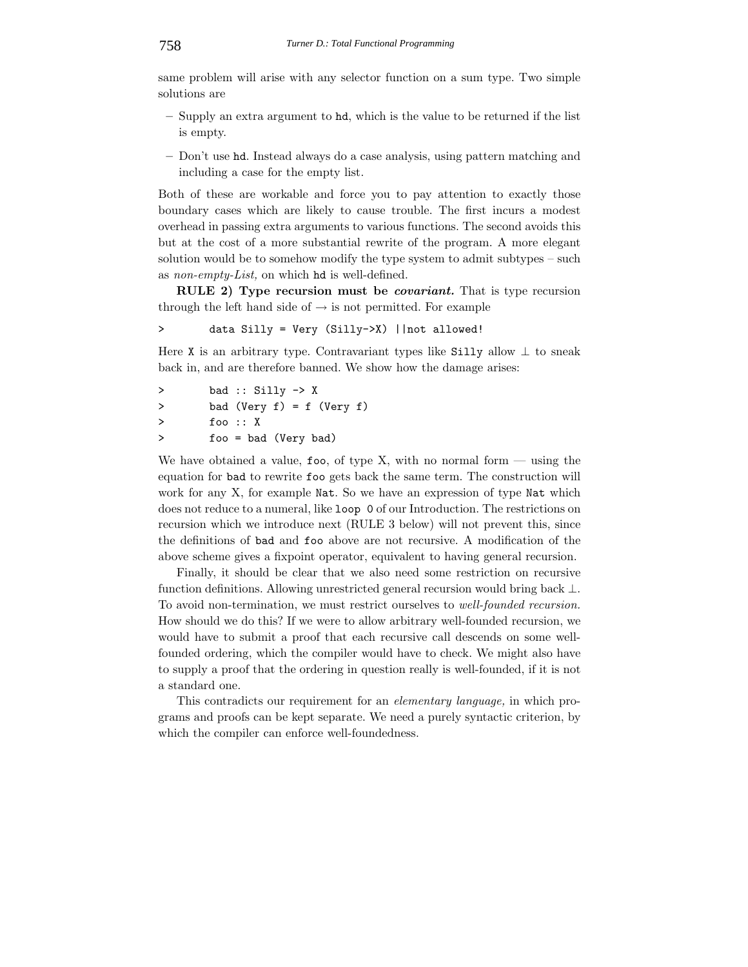same problem will arise with any selector function on a sum type. Two simple solutions are

- **–** Supply an extra argument to hd, which is the value to be returned if the list is empty.
- **–** Don't use hd. Instead always do a case analysis, using pattern matching and including a case for the empty list.

Both of these are workable and force you to pay attention to exactly those boundary cases which are likely to cause trouble. The first incurs a modest overhead in passing extra arguments to various functions. The second avoids this but at the cost of a more substantial rewrite of the program. A more elegant solution would be to somehow modify the type system to admit subtypes – such as *non-empty-List,* on which hd is well-defined.

**RULE 2) Type recursion must be** *covariant.* That is type recursion through the left hand side of  $\rightarrow$  is not permitted. For example

> data Silly = Very (Silly->X) ||not allowed!

Here X is an arbitrary type. Contravariant types like Silly allow  $\perp$  to sneak back in, and are therefore banned. We show how the damage arises:

```
> bad :: Silly -> X
> bad (Very f) = f (Very f)
> foo :: X
> foo = bad (Very bad)
```
We have obtained a value, foo, of type X, with no normal form  $-$  using the equation for bad to rewrite foo gets back the same term. The construction will work for any X, for example Nat. So we have an expression of type Nat which does not reduce to a numeral, like loop 0 of our Introduction. The restrictions on recursion which we introduce next (RULE 3 below) will not prevent this, since the definitions of bad and foo above are not recursive. A modification of the above scheme gives a fixpoint operator, equivalent to having general recursion.

Finally, it should be clear that we also need some restriction on recursive function definitions. Allowing unrestricted general recursion would bring back ⊥. To avoid non-termination, we must restrict ourselves to *well-founded recursion.* How should we do this? If we were to allow arbitrary well-founded recursion, we would have to submit a proof that each recursive call descends on some wellfounded ordering, which the compiler would have to check. We might also have to supply a proof that the ordering in question really is well-founded, if it is not a standard one.

This contradicts our requirement for an *elementary language,* in which programs and proofs can be kept separate. We need a purely syntactic criterion, by which the compiler can enforce well-foundedness.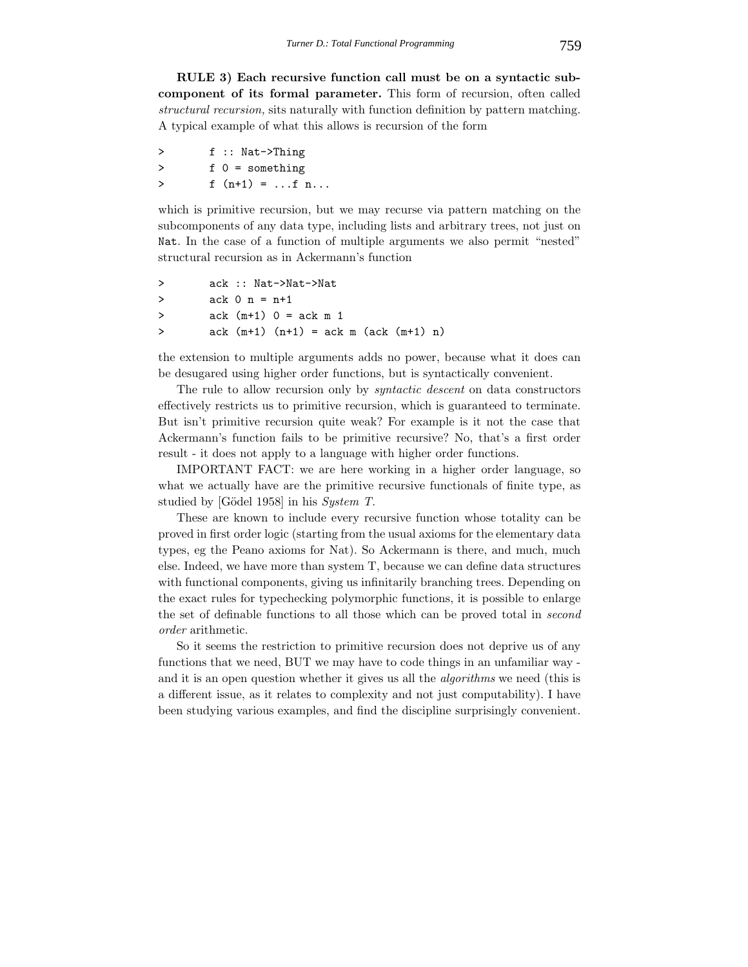**RULE 3) Each recursive function call must be on a syntactic subcomponent of its formal parameter.** This form of recursion, often called *structural recursion,* sits naturally with function definition by pattern matching. A typical example of what this allows is recursion of the form

| ゝ      | $f :: Nat->Thinking$ |
|--------|----------------------|
| $\geq$ | $f$ 0 = something    |
| ゝ      | $f(n+1) =  f n$      |

which is primitive recursion, but we may recurse via pattern matching on the subcomponents of any data type, including lists and arbitrary trees, not just on Nat. In the case of a function of multiple arguments we also permit "nested" structural recursion as in Ackermann's function

```
> ack :: Nat->Nat->Nat
> ack 0 n = n+1
> ack (m+1) 0 = ack m 1
> ack (m+1) (n+1) = ack m (ack (m+1) n)
```
the extension to multiple arguments adds no power, because what it does can be desugared using higher order functions, but is syntactically convenient.

The rule to allow recursion only by *syntactic descent* on data constructors effectively restricts us to primitive recursion, which is guaranteed to terminate. But isn't primitive recursion quite weak? For example is it not the case that Ackermann's function fails to be primitive recursive? No, that's a first order result - it does not apply to a language with higher order functions.

IMPORTANT FACT: we are here working in a higher order language, so what we actually have are the primitive recursive functionals of finite type, as studied by [Gödel 1958] in his *System T*.

These are known to include every recursive function whose totality can be proved in first order logic (starting from the usual axioms for the elementary data types, eg the Peano axioms for Nat). So Ackermann is there, and much, much else. Indeed, we have more than system T, because we can define data structures with functional components, giving us infinitarily branching trees. Depending on the exact rules for typechecking polymorphic functions, it is possible to enlarge the set of definable functions to all those which can be proved total in *second order* arithmetic.

So it seems the restriction to primitive recursion does not deprive us of any functions that we need, BUT we may have to code things in an unfamiliar way and it is an open question whether it gives us all the *algorithms* we need (this is a different issue, as it relates to complexity and not just computability). I have been studying various examples, and find the discipline surprisingly convenient.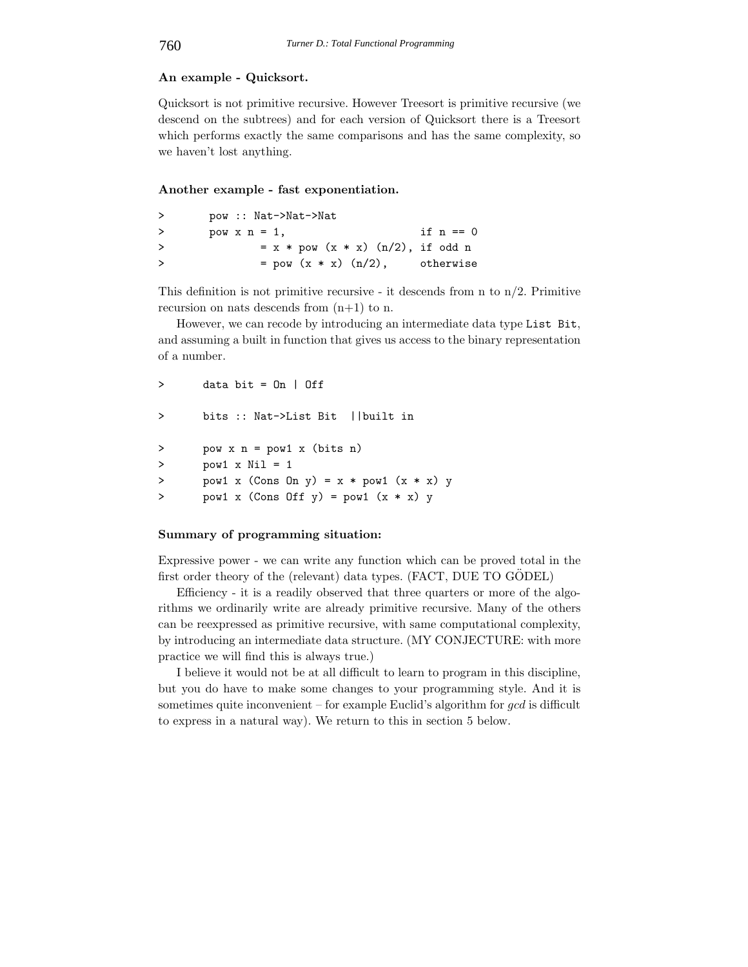# **An example - Quicksort.**

Quicksort is not primitive recursive. However Treesort is primitive recursive (we descend on the subtrees) and for each version of Quicksort there is a Treesort which performs exactly the same comparisons and has the same complexity, so we haven't lost anything.

#### **Another example - fast exponentiation.**

| > | pow :: Nat->Nat->Nat                |             |
|---|-------------------------------------|-------------|
| ゝ | pow $x n = 1$ ,                     | if $n == 0$ |
| ゝ | $= x * pow (x * x) (n/2), if odd n$ |             |
| ゝ | $=$ pow $(x * x)$ $(n/2)$ ,         | otherwise   |

This definition is not primitive recursive - it descends from n to  $n/2$ . Primitive recursion on nats descends from  $(n+1)$  to n.

However, we can recode by introducing an intermediate data type List Bit, and assuming a built in function that gives us access to the binary representation of a number.

```
> data bit = 0n | 0ff
> bits :: Nat->List Bit ||built in
> pow x n = pow1 x (bits n)
> pow1 x Nil = 1
> pow1 x (Cons On y) = x * pow1 (x * x) y> pow1 x (Cons Off y) = pow1 (x * x) y
```
#### **Summary of programming situation:**

Expressive power - we can write any function which can be proved total in the first order theory of the (relevant) data types.  $(FACT, DUE TO GODEL)$ 

Efficiency - it is a readily observed that three quarters or more of the algorithms we ordinarily write are already primitive recursive. Many of the others can be reexpressed as primitive recursive, with same computational complexity, by introducing an intermediate data structure. (MY CONJECTURE: with more practice we will find this is always true.)

I believe it would not be at all difficult to learn to program in this discipline, but you do have to make some changes to your programming style. And it is sometimes quite inconvenient – for example Euclid's algorithm for  $gcd$  is difficult to express in a natural way). We return to this in section 5 below.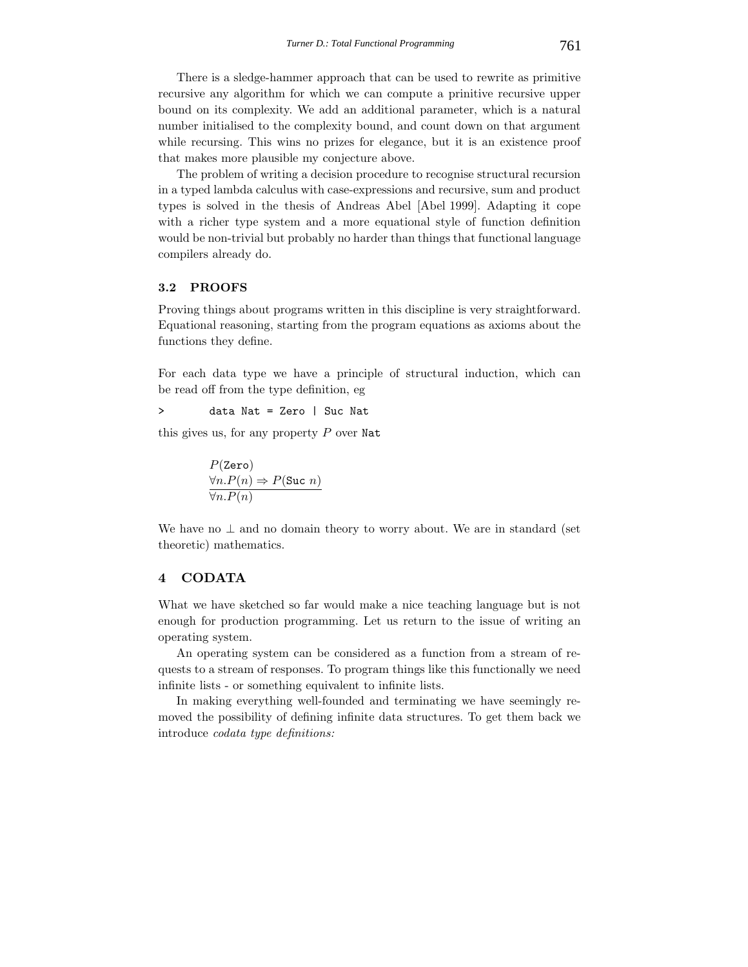There is a sledge-hammer approach that can be used to rewrite as primitive recursive any algorithm for which we can compute a prinitive recursive upper bound on its complexity. We add an additional parameter, which is a natural number initialised to the complexity bound, and count down on that argument while recursing. This wins no prizes for elegance, but it is an existence proof that makes more plausible my conjecture above.

The problem of writing a decision procedure to recognise structural recursion in a typed lambda calculus with case-expressions and recursive, sum and product types is solved in the thesis of Andreas Abel [Abel 1999]. Adapting it cope with a richer type system and a more equational style of function definition would be non-trivial but probably no harder than things that functional language compilers already do.

# **3.2 PROOFS**

Proving things about programs written in this discipline is very straightforward. Equational reasoning, starting from the program equations as axioms about the functions they define.

For each data type we have a principle of structural induction, which can be read off from the type definition, eg

> data Nat = Zero | Suc Nat

this gives us, for any property  $P$  over Nat

$$
P(\text{Zero})
$$
  

$$
\forall n.P(n) \Rightarrow P(\text{Suc } n)
$$
  

$$
\forall n.P(n)
$$

We have no  $\perp$  and no domain theory to worry about. We are in standard (set theoretic) mathematics.

# **4 CODATA**

What we have sketched so far would make a nice teaching language but is not enough for production programming. Let us return to the issue of writing an operating system.

An operating system can be considered as a function from a stream of requests to a stream of responses. To program things like this functionally we need infinite lists - or something equivalent to infinite lists.

In making everything well-founded and terminating we have seemingly removed the possibility of defining infinite data structures. To get them back we introduce *codata type definitions:*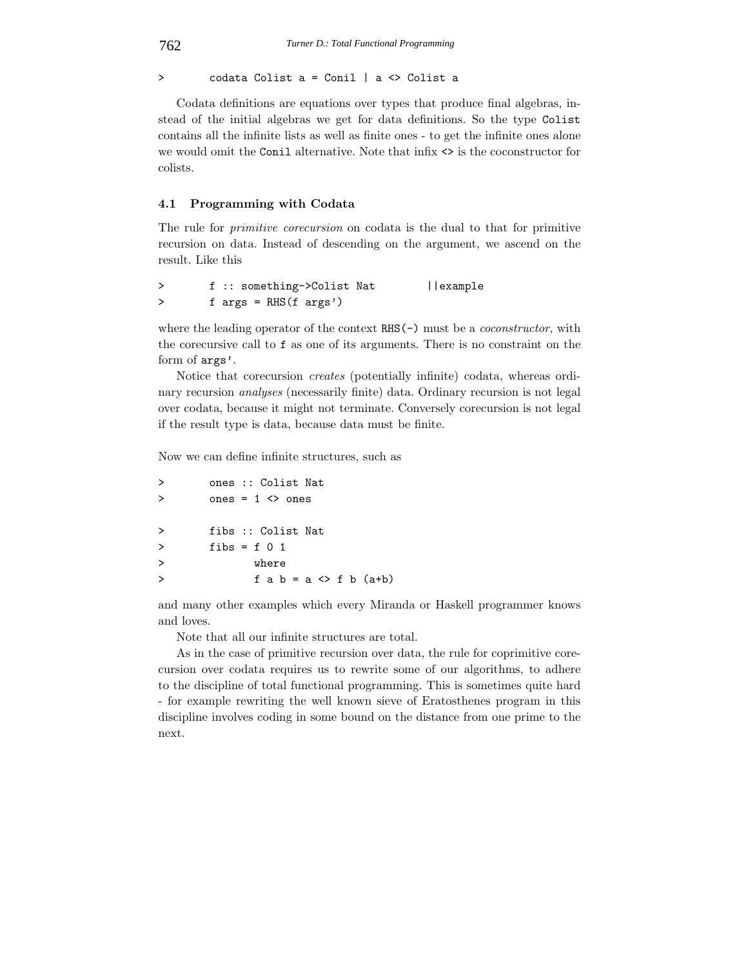> codata Colist a = Conil | a <> Colist a

Codata definitions are equations over types that produce final algebras, instead of the initial algebras we get for data definitions. So the type Colist contains all the infinite lists as well as finite ones - to get the infinite ones alone we would omit the Conil alternative. Note that  $\inf x \leq$  is the coconstructor for colists.

# **4.1 Programming with Codata**

The rule for *primitive corecursion* on codata is the dual to that for primitive recursion on data. Instead of descending on the argument, we ascend on the result. Like this

> f :: something->Colist Nat ||example > f args = RHS(f args')

where the leading operator of the context RHS(-) must be a *coconstructor,* with the corecursive call to f as one of its arguments. There is no constraint on the form of args'.

Notice that corecursion *creates* (potentially infinite) codata, whereas ordinary recursion *analyses* (necessarily finite) data. Ordinary recursion is not legal over codata, because it might not terminate. Conversely corecursion is not legal if the result type is data, because data must be finite.

Now we can define infinite structures, such as

| $\geq$        | ones :: Colist Nat                        |
|---------------|-------------------------------------------|
| $\geq$        | ones = $1 \leq$ ones                      |
|               |                                           |
| $\rightarrow$ | fibs :: Colist Nat                        |
| $\geq$        | fibs = f $01$                             |
| $\rightarrow$ | where                                     |
| $\rightarrow$ | $f$ a $b = a \Leftrightarrow f$ b $(a+b)$ |
|               |                                           |

and many other examples which every Miranda or Haskell programmer knows and loves.

Note that all our infinite structures are total.

As in the case of primitive recursion over data, the rule for coprimitive corecursion over codata requires us to rewrite some of our algorithms, to adhere to the discipline of total functional programming. This is sometimes quite hard - for example rewriting the well known sieve of Eratosthenes program in this discipline involves coding in some bound on the distance from one prime to the next.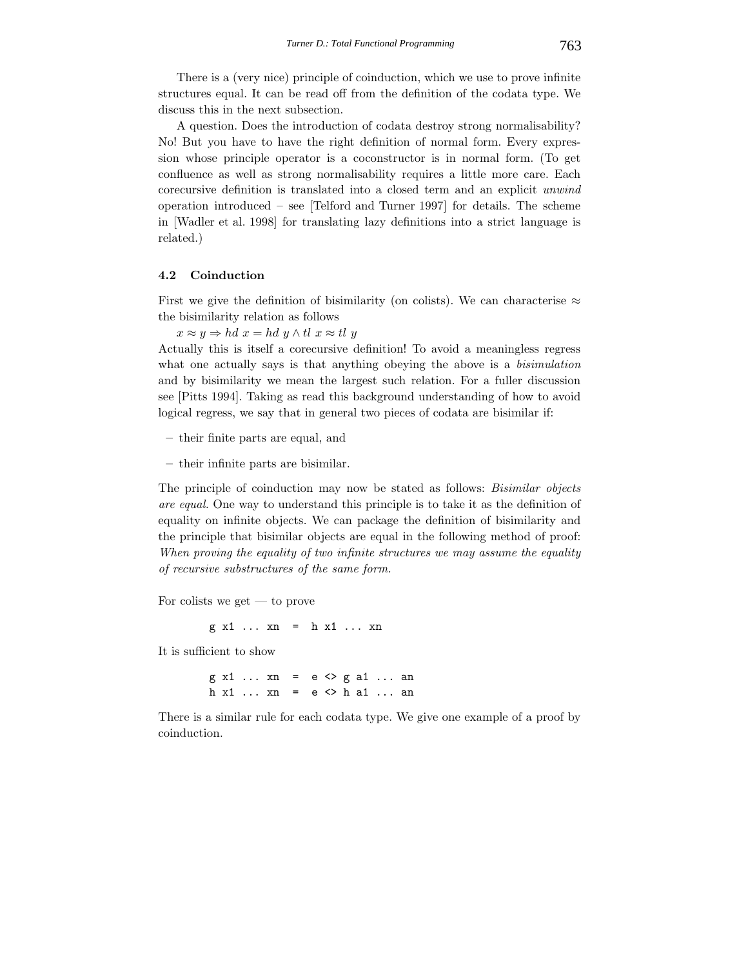There is a (very nice) principle of coinduction, which we use to prove infinite structures equal. It can be read off from the definition of the codata type. We discuss this in the next subsection.

A question. Does the introduction of codata destroy strong normalisability? No! But you have to have the right definition of normal form. Every expression whose principle operator is a coconstructor is in normal form. (To get confluence as well as strong normalisability requires a little more care. Each corecursive definition is translated into a closed term and an explicit *unwind* operation introduced – see [Telford and Turner 1997] for details. The scheme in [Wadler et al. 1998] for translating lazy definitions into a strict language is related.)

# **4.2 Coinduction**

First we give the definition of bisimilarity (on colists). We can characterise  $\approx$ the bisimilarity relation as follows

 $x \approx y \Rightarrow hd\ x = hd\ y \wedge tl\ x \approx tl\ y$ 

Actually this is itself a corecursive definition! To avoid a meaningless regress what one actually says is that anything obeying the above is a *bisimulation* and by bisimilarity we mean the largest such relation. For a fuller discussion see [Pitts 1994]. Taking as read this background understanding of how to avoid logical regress, we say that in general two pieces of codata are bisimilar if:

**–** their finite parts are equal, and

**–** their infinite parts are bisimilar.

The principle of coinduction may now be stated as follows: *Bisimilar objects are equal.* One way to understand this principle is to take it as the definition of equality on infinite objects. We can package the definition of bisimilarity and the principle that bisimilar objects are equal in the following method of proof: *When proving the equality of two infinite structures we may assume the equality of recursive substructures of the same form.*

For colists we get — to prove

g x1 ... xn = h x1 ... xn

It is sufficient to show

g x1 ... xn = e <> g a1 ... an h x1 ... xn = e <> h a1 ... an

There is a similar rule for each codata type. We give one example of a proof by coinduction.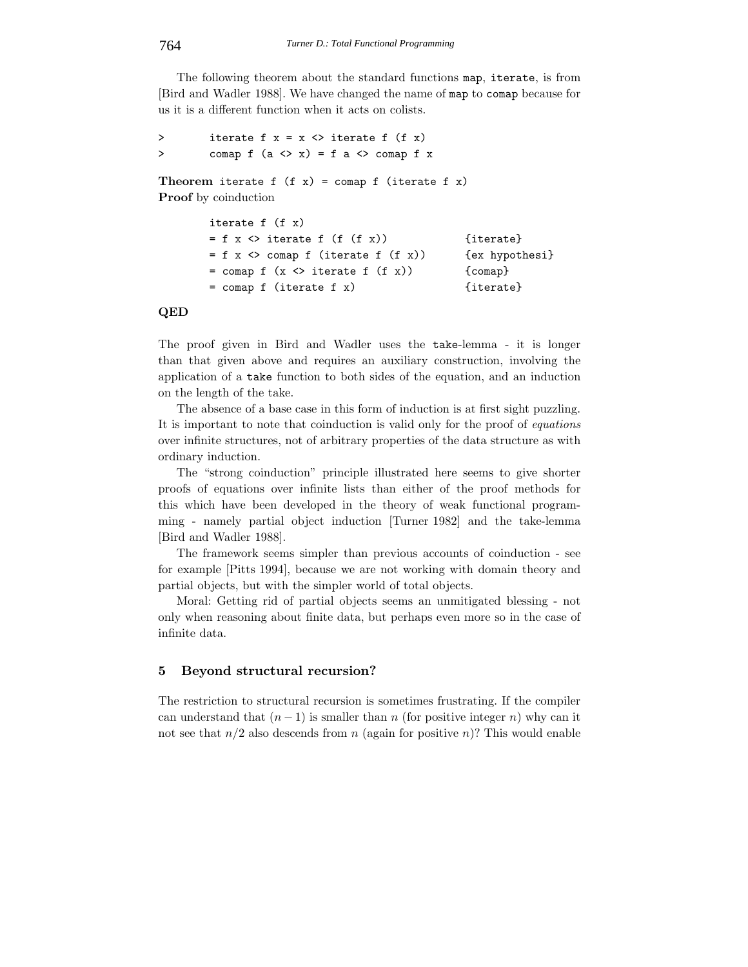The following theorem about the standard functions map, iterate, is from [Bird and Wadler 1988]. We have changed the name of map to comap because for us it is a different function when it acts on colists.

```
> iterate f x = x \Leftrightarrow iterate f (f x)
> comap f (a \Leftrightarrow x) = f a \Leftrightarrow \text{conn } f x
```
Theorem iterate  $f(x) = \text{comp } f$  (iterate  $f(x)$ ) **Proof** by coinduction

```
iterate f (f x)
= f x \Leftrightarrow iterate f (f (f x)) {iterate}
= f x \Leftrightarrow comap f (iterate f (f x)) {ex hypothesi}
= comap f (x \leq x) iterate f (f(x)) {comap}
= comap f (iterate f x) {iterate}
```
## **QED**

The proof given in Bird and Wadler uses the take-lemma - it is longer than that given above and requires an auxiliary construction, involving the application of a take function to both sides of the equation, and an induction on the length of the take.

The absence of a base case in this form of induction is at first sight puzzling. It is important to note that coinduction is valid only for the proof of *equations* over infinite structures, not of arbitrary properties of the data structure as with ordinary induction.

The "strong coinduction" principle illustrated here seems to give shorter proofs of equations over infinite lists than either of the proof methods for this which have been developed in the theory of weak functional programming - namely partial object induction [Turner 1982] and the take-lemma [Bird and Wadler 1988].

The framework seems simpler than previous accounts of coinduction - see for example [Pitts 1994], because we are not working with domain theory and partial objects, but with the simpler world of total objects.

Moral: Getting rid of partial objects seems an unmitigated blessing - not only when reasoning about finite data, but perhaps even more so in the case of infinite data.

# **5 Beyond structural recursion?**

The restriction to structural recursion is sometimes frustrating. If the compiler can understand that  $(n-1)$  is smaller than n (for positive integer n) why can it not see that  $n/2$  also descends from n (again for positive n)? This would enable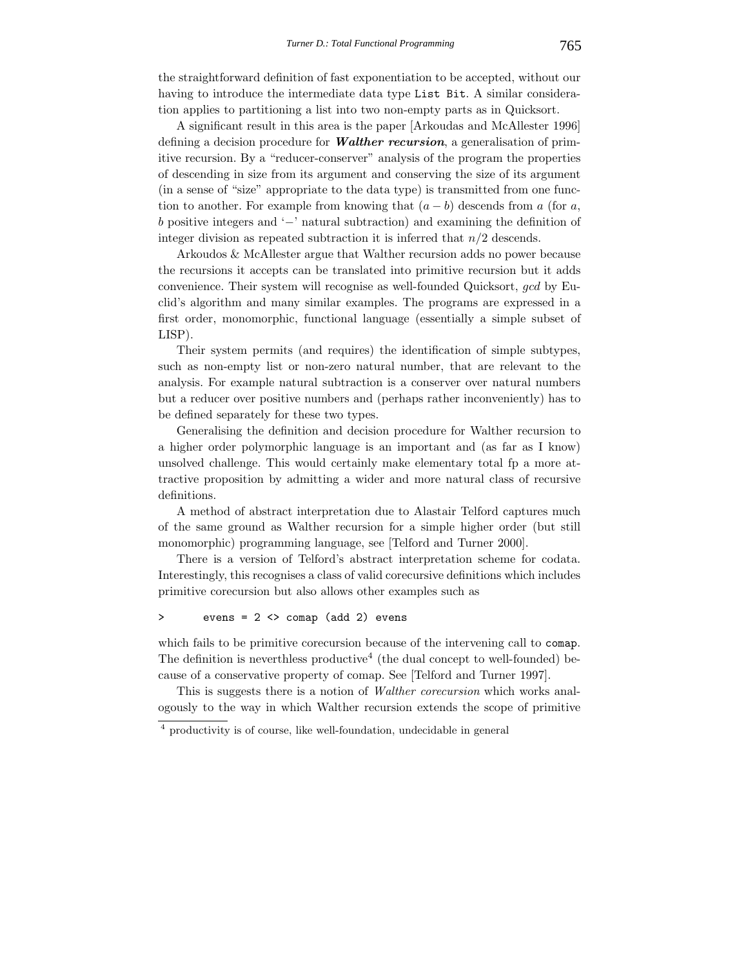the straightforward definition of fast exponentiation to be accepted, without our having to introduce the intermediate data type List Bit. A similar consideration applies to partitioning a list into two non-empty parts as in Quicksort.

A significant result in this area is the paper [Arkoudas and McAllester 1996] defining a decision procedure for *Walther recursion*, a generalisation of primitive recursion. By a "reducer-conserver" analysis of the program the properties of descending in size from its argument and conserving the size of its argument (in a sense of "size" appropriate to the data type) is transmitted from one function to another. For example from knowing that  $(a - b)$  descends from a (for a, b positive integers and '−' natural subtraction) and examining the definition of integer division as repeated subtraction it is inferred that  $n/2$  descends.

Arkoudos & McAllester argue that Walther recursion adds no power because the recursions it accepts can be translated into primitive recursion but it adds convenience. Their system will recognise as well-founded Quicksort, gcd by Euclid's algorithm and many similar examples. The programs are expressed in a first order, monomorphic, functional language (essentially a simple subset of LISP).

Their system permits (and requires) the identification of simple subtypes, such as non-empty list or non-zero natural number, that are relevant to the analysis. For example natural subtraction is a conserver over natural numbers but a reducer over positive numbers and (perhaps rather inconveniently) has to be defined separately for these two types.

Generalising the definition and decision procedure for Walther recursion to a higher order polymorphic language is an important and (as far as I know) unsolved challenge. This would certainly make elementary total fp a more attractive proposition by admitting a wider and more natural class of recursive definitions.

A method of abstract interpretation due to Alastair Telford captures much of the same ground as Walther recursion for a simple higher order (but still monomorphic) programming language, see [Telford and Turner 2000].

There is a version of Telford's abstract interpretation scheme for codata. Interestingly, this recognises a class of valid corecursive definitions which includes primitive corecursion but also allows other examples such as

## > evens = 2 <> comap (add 2) evens

which fails to be primitive corecursion because of the intervening call to comap. The definition is neverthless productive<sup>4</sup> (the dual concept to well-founded) because of a conservative property of comap. See [Telford and Turner 1997].

This is suggests there is a notion of *Walther corecursion* which works analogously to the way in which Walther recursion extends the scope of primitive

<sup>4</sup> productivity is of course, like well-foundation, undecidable in general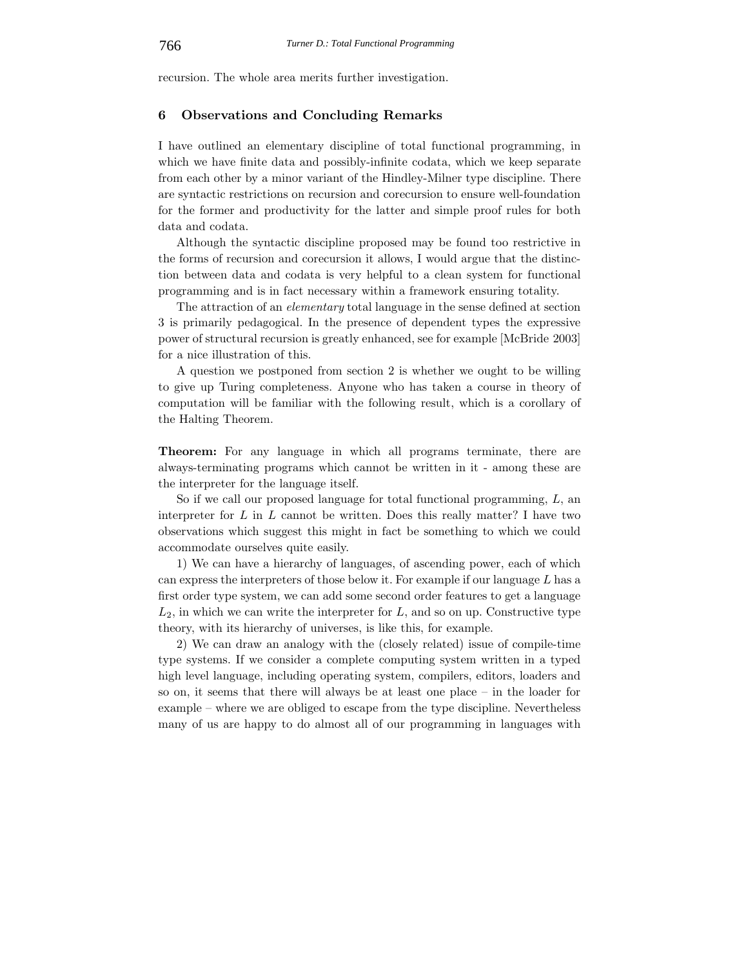recursion. The whole area merits further investigation.

# **6 Observations and Concluding Remarks**

I have outlined an elementary discipline of total functional programming, in which we have finite data and possibly-infinite codata, which we keep separate from each other by a minor variant of the Hindley-Milner type discipline. There are syntactic restrictions on recursion and corecursion to ensure well-foundation for the former and productivity for the latter and simple proof rules for both data and codata.

Although the syntactic discipline proposed may be found too restrictive in the forms of recursion and corecursion it allows, I would argue that the distinction between data and codata is very helpful to a clean system for functional programming and is in fact necessary within a framework ensuring totality.

The attraction of an *elementary* total language in the sense defined at section 3 is primarily pedagogical. In the presence of dependent types the expressive power of structural recursion is greatly enhanced, see for example [McBride 2003] for a nice illustration of this.

A question we postponed from section 2 is whether we ought to be willing to give up Turing completeness. Anyone who has taken a course in theory of computation will be familiar with the following result, which is a corollary of the Halting Theorem.

**Theorem:** For any language in which all programs terminate, there are always-terminating programs which cannot be written in it - among these are the interpreter for the language itself.

So if we call our proposed language for total functional programming, L, an interpreter for  $L$  in  $L$  cannot be written. Does this really matter? I have two observations which suggest this might in fact be something to which we could accommodate ourselves quite easily.

1) We can have a hierarchy of languages, of ascending power, each of which can express the interpreters of those below it. For example if our language  $L$  has a first order type system, we can add some second order features to get a language  $L_2$ , in which we can write the interpreter for  $L$ , and so on up. Constructive type theory, with its hierarchy of universes, is like this, for example.

2) We can draw an analogy with the (closely related) issue of compile-time type systems. If we consider a complete computing system written in a typed high level language, including operating system, compilers, editors, loaders and so on, it seems that there will always be at least one place – in the loader for example – where we are obliged to escape from the type discipline. Nevertheless many of us are happy to do almost all of our programming in languages with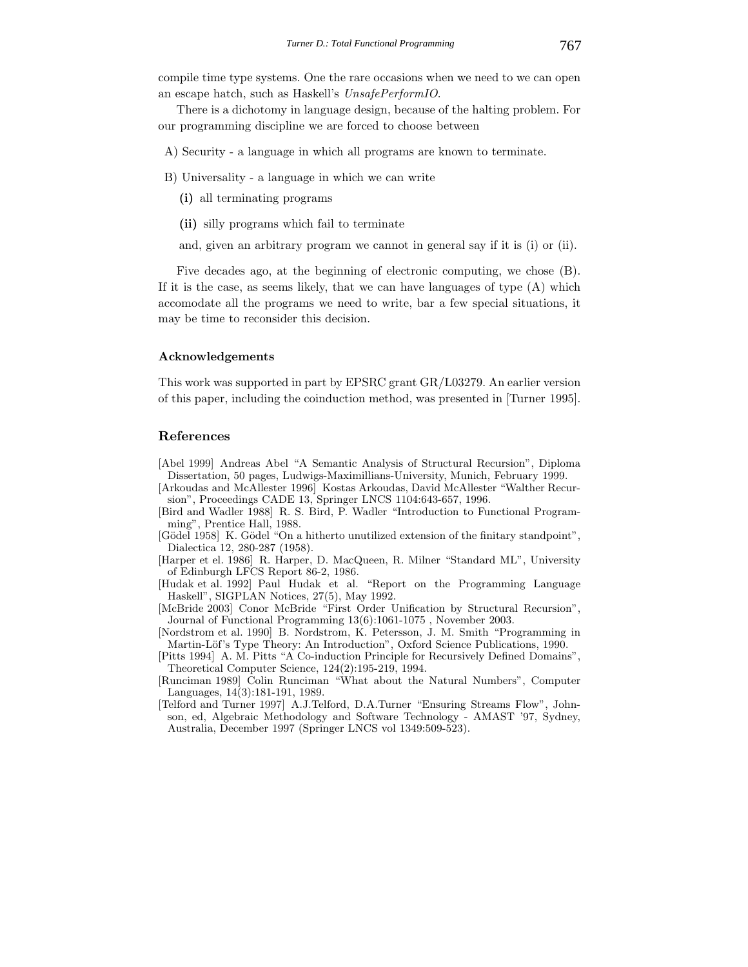compile time type systems. One the rare occasions when we need to we can open an escape hatch, such as Haskell's *UnsafePerformIO*.

There is a dichotomy in language design, because of the halting problem. For our programming discipline we are forced to choose between

- A) Security a language in which all programs are known to terminate.
- B) Universality a language in which we can write
	- **(i)** all terminating programs
	- **(ii)** silly programs which fail to terminate
	- and, given an arbitrary program we cannot in general say if it is (i) or (ii).

Five decades ago, at the beginning of electronic computing, we chose (B). If it is the case, as seems likely, that we can have languages of type  $(A)$  which accomodate all the programs we need to write, bar a few special situations, it may be time to reconsider this decision.

#### **Acknowledgements**

This work was supported in part by EPSRC grant GR/L03279. An earlier version of this paper, including the coinduction method, was presented in [Turner 1995].

## **References**

- [Abel 1999] Andreas Abel "A Semantic Analysis of Structural Recursion", Diploma Dissertation, 50 pages, Ludwigs-Maximillians-University, Munich, February 1999.
- [Arkoudas and McAllester 1996] Kostas Arkoudas, David McAllester "Walther Recursion", Proceedings CADE 13, Springer LNCS 1104:643-657, 1996.
- [Bird and Wadler 1988] R. S. Bird, P. Wadler "Introduction to Functional Programming", Prentice Hall, 1988.
- [Gödel 1958] K. Gödel "On a hitherto unutilized extension of the finitary standpoint", Dialectica 12, 280-287 (1958).
- [Harper et el. 1986] R. Harper, D. MacQueen, R. Milner "Standard ML", University of Edinburgh LFCS Report 86-2, 1986.
- [Hudak et al. 1992] Paul Hudak et al. "Report on the Programming Language Haskell", SIGPLAN Notices, 27(5), May 1992.
- [McBride 2003] Conor McBride "First Order Unification by Structural Recursion", Journal of Functional Programming 13(6):1061-1075 , November 2003.
- [Nordstrom et al. 1990] B. Nordstrom, K. Petersson, J. M. Smith "Programming in Martin-Löf's Type Theory: An Introduction", Oxford Science Publications, 1990.
- [Pitts 1994] A. M. Pitts "A Co-induction Principle for Recursively Defined Domains", Theoretical Computer Science, 124(2):195-219, 1994.
- [Runciman 1989] Colin Runciman "What about the Natural Numbers", Computer Languages, 14(3):181-191, 1989.
- [Telford and Turner 1997] A.J.Telford, D.A.Turner "Ensuring Streams Flow", Johnson, ed, Algebraic Methodology and Software Technology - AMAST '97, Sydney, Australia, December 1997 (Springer LNCS vol 1349:509-523).